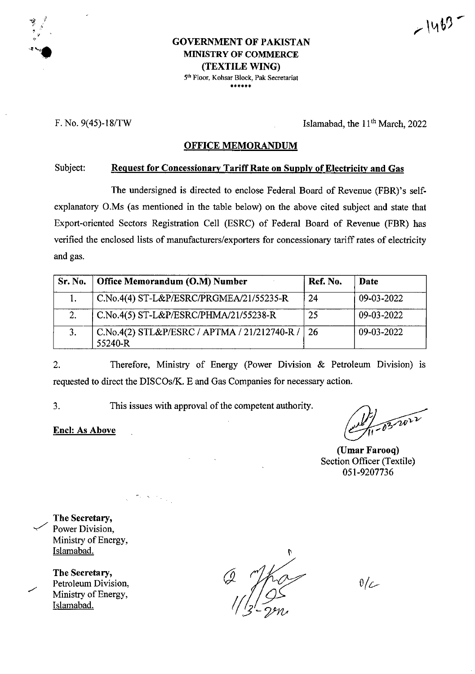$-1463$ 

#### **GOVERNMENT OF** PAKISTAN MINISTRY OF COMMERCE **(TEXTILE WING)** 5th Floor. Kohsar Block, Pak Secretariat \*\*\*\*\*\*

*\$*

'8 Si

F. No. 9(45)-18/TW Islamabad, the 11th March, 2022

#### **OFFICE MEMORANDUM**

Subject: **Request for Concessionary TariffRate on Supply ofElectricity and Gas**

The undersigned is directed to enclose Federal Board of Revenue (FBR)'s selfexplanatory O.Ms (as mentioned in the table below) on the above cited subject and state that Export-oriented Sectors Registration Cell (ESRC) of Federal Board of Revenue (FBR) has verified the enclosed lists of manufacturers/exporters for concessionary tariff rates of electricity and gas.

| Sr. No. | Office Memorandum (O.M) Number                          | Ref. No. | Date       |
|---------|---------------------------------------------------------|----------|------------|
|         | C.No.4(4) ST-L&P/ESRC/PRGMEA/21/55235-R                 | 24       | 09-03-2022 |
|         | C.No.4(5) ST-L&P/ESRC/PHMA/21/55238-R                   | 25       | 09-03-2022 |
|         | C.No.4(2) STL&P/ESRC / APTMA / 21/212740-R /<br>55240-R | 26       | 09-03-2022 |

Therefore, Ministry of Energy (Power Division & Petroleum Division) is requested to direct the DISCOs/K. E and Gas Companies for necessary action. 2.

3. This issues with approval of the competent authority.

**Enel: As Above**

 $-032012$ 

**(Umar Farooq)** Section Officer (Textile) 051-9207736

**The** Secretary, Power Division, Ministry of Energy, Islamabad.

**The Secretary,** Petroleum Division, Ministry of Energy, Islamabad.

 $\theta/\mathcal{L}$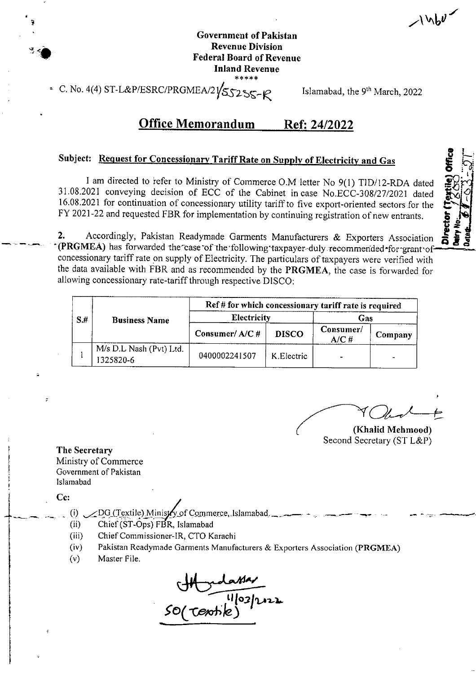$1460$ 

 $\bullet$  : **i bffice**<br>-<br>-  $\frac{1}{2}$ 

i

## **Government of Pakistan Revenue Division Federal Board ofRevenue Inland Revenue**

**4(4)** ST-L&P/ESRC/PRGMEA/2 $\sqrt{\text{S}}$ S<sub>2</sub>S<sub>S-1</sub> $\varphi$  Islamabad, the 9<sup>th</sup> March, 2022

## Office Memorandum Ref: 24/2022

# **Subject:** Request for Concessionary Tariff Rate on Supply of Electricity and Gas

I am directed to refer to Ministry of Commerce O.M letter No 9(1) TID/12-RDA dated 31.08.2021 conveying decision of ECC of the Cabinet incase No.ECC-308/27/2021 dated 16.08.2021 for continuation of concessionary utility tariffto five export-oriented sectors for the FY 2021-22 and requested FBR for implementation by continuing registration of new entrants.

*Hi* Accordingly, Pakistan Readymade Garments Manufacturers & Exporters Association **gif** (PRGMEA) has forwarded the case of the following taxpayer-duly recommended for grant of concessionary tariff rate on supply of Electricity. The particulars of taxpayers were verified with the data available with FBR and as recommended by the **PRGMEA,** the case is forwarded for allowing concessionary rate-tariffthrough respective DISCO: **2.**

| S.H | <b>Business Name</b>                 | Ref # for which concessionary tariff rate is required |              |                    |         |  |
|-----|--------------------------------------|-------------------------------------------------------|--------------|--------------------|---------|--|
|     |                                      | <b>Electricity</b>                                    |              | Gas                |         |  |
|     |                                      | Consumer/A/C#                                         | <b>DISCO</b> | Consumer/<br>A/C H | Company |  |
|     | M/s D.L Nash (Pvt) Ltd.<br>1325820-6 | 0400002241507                                         | K. Electric  | $\blacksquare$     |         |  |

**(Khalid Mehmood)** Second Secretary (ST L&P)

**The Secretary** Ministry of Commerce Government of Pakistan Islamabad **<sup>s</sup>**

Cc:

?

- (i)  $\angle$  DG(Textile) Ministry of Commerce, Islamabad.
- (ii) Chief(ST-Ops) FBR, Islamabad
- (iii) ChiefCommissioner-IR, CTO Karachi
- Pakistan Readymade Garments Manufacturers *&* Exporters Association **(PRGMEA)** (iv)
- Master File.  $(v)$

ED(Textile)<sup>11</sup>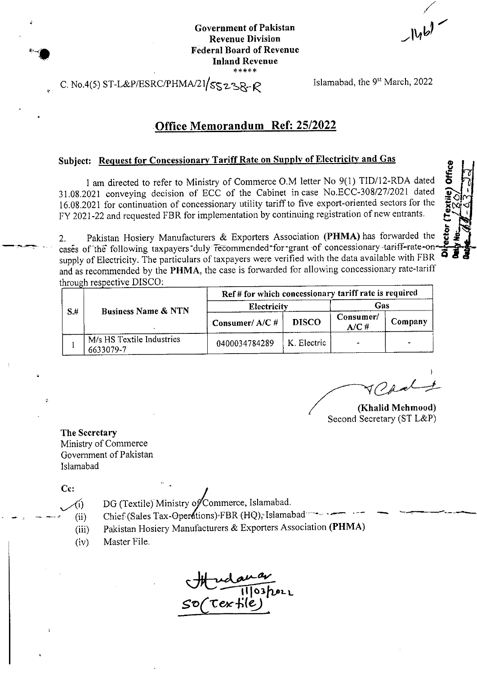**Government** of Pakistan **Revenue Division Federal Board of Revenue Inland Revenue \*\*\*\*\***

**u**

w © JN

# C. No.4(5) ST-L&P/ESRC/PHMA/21/ $s_5z_8$ - $R$  Islamabad, the 9st March, 2022

### Office Memorandum Ref: 25/2022

## **Subject; Request for Concessionary Tariff Rate on Sunnlv of Electricity and Gas** ©

<sup>I</sup> am directed to refer to Ministry of Commerce O.M letter No 9(1) TID/12-RDA dated **i** 31.08,2021 conveying decision of ECC of the Cabinet incase No.ECC-308/27/2021 dated 16.08.2021 for continuation of concessionary utility tariffto five export-oriented sectors for the FY 2021-22 and requested FBR for implementation by continuing registration of new entrants.

Pakistan Hosiery Manufacturers & Exporters Association (PHMA) has forwarded the z. Pakistan Hosiery Manufacturers & Exporters Association (**FIIMA)** has forwarded the **g**<br>cases of the following taxpayers duly recommended for grant of concessionary tariff-rate-onsupply of Electricity. The particulars of taxpayers were verified with the data available with FBR and as recommended by the PHMA, the case is forwarded for allowing concessionary rate-tariff through respective DISCO:

| S# | <b>Business Name &amp; NTN</b>         | Ref # for which concessionary tariff rate is required |              |                      |         |  |
|----|----------------------------------------|-------------------------------------------------------|--------------|----------------------|---------|--|
|    |                                        | Electricity                                           |              | Gas                  |         |  |
|    |                                        | Consumer/ $A/C$ #                                     | <b>DISCO</b> | Consumer/<br>$A/C$ # | Company |  |
|    | M/s HS Textile Industries<br>6633079-7 | 0400034784289                                         | K. Electric  |                      |         |  |

**(Khalid Mehmood)** Second Secretary (ST L&P)

**The Secretary** Ministry of Commerce Government of Pakistan Islamabad

**Cc:**

DG (Textile) Ministry of Commerce, Islamabad.  $\big($ i $\big)$ 

Chief (Sales Tax-Operations) FBR (HQ); Islamabad  $(i)$ 

- Pakistan Hosiery Manufacturers & Exporters Association (PHMA)  $(iii)$
- Master File. (iv)

 $\frac{20}{103}$